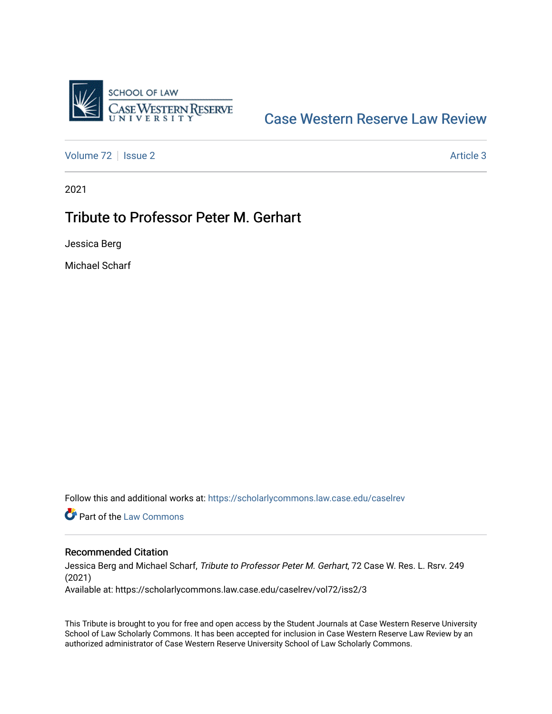

## [Case Western Reserve Law Review](https://scholarlycommons.law.case.edu/caselrev)

[Volume 72](https://scholarlycommons.law.case.edu/caselrev/vol72) | [Issue 2](https://scholarlycommons.law.case.edu/caselrev/vol72/iss2) Article 3

2021

## Tribute to Professor Peter M. Gerhart

Jessica Berg

Michael Scharf

Follow this and additional works at: [https://scholarlycommons.law.case.edu/caselrev](https://scholarlycommons.law.case.edu/caselrev?utm_source=scholarlycommons.law.case.edu%2Fcaselrev%2Fvol72%2Fiss2%2F3&utm_medium=PDF&utm_campaign=PDFCoverPages)

**C** Part of the [Law Commons](https://network.bepress.com/hgg/discipline/578?utm_source=scholarlycommons.law.case.edu%2Fcaselrev%2Fvol72%2Fiss2%2F3&utm_medium=PDF&utm_campaign=PDFCoverPages)

### Recommended Citation

Jessica Berg and Michael Scharf, Tribute to Professor Peter M. Gerhart, 72 Case W. Res. L. Rsrv. 249 (2021) Available at: https://scholarlycommons.law.case.edu/caselrev/vol72/iss2/3

This Tribute is brought to you for free and open access by the Student Journals at Case Western Reserve University School of Law Scholarly Commons. It has been accepted for inclusion in Case Western Reserve Law Review by an authorized administrator of Case Western Reserve University School of Law Scholarly Commons.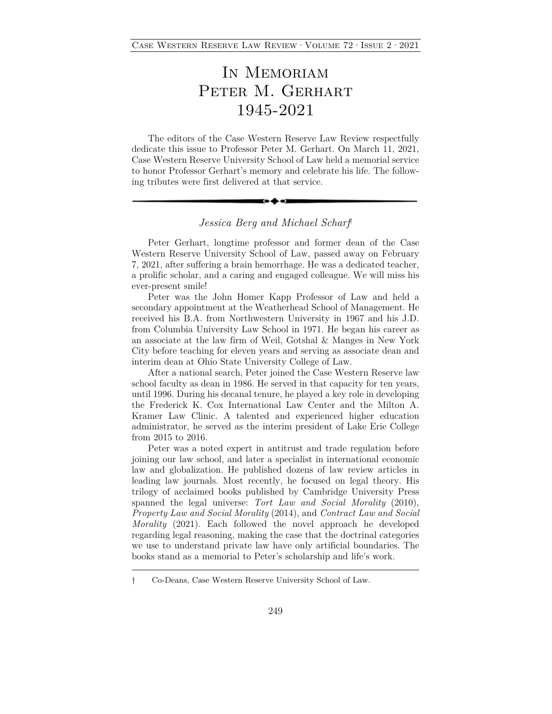# IN MEMORIAM PETER M. GERHART 1945-2021

 The editors of the Case Western Reserve Law Review respectfully dedicate this issue to Professor Peter M. Gerhart. On March 11, 2021, Case Western Reserve University School of Law held a memorial service to honor Professor Gerhart's memory and celebrate his life. The following tributes were first delivered at that service.

#### *Jessica Berg and Michael Scharf*†

Peter Gerhart, longtime professor and former dean of the Case Western Reserve University School of Law, passed away on February 7, 2021, after suffering a brain hemorrhage. He was a dedicated teacher, a prolific scholar, and a caring and engaged colleague. We will miss his ever-present smile!

Peter was the John Homer Kapp Professor of Law and held a secondary appointment at the Weatherhead School of Management. He received his B.A. from Northwestern University in 1967 and his J.D. from Columbia University Law School in 1971. He began his career as an associate at the law firm of Weil, Gotshal & Manges in New York City before teaching for eleven years and serving as associate dean and interim dean at Ohio State University College of Law.

After a national search, Peter joined the Case Western Reserve law school faculty as dean in 1986. He served in that capacity for ten years, until 1996. During his decanal tenure, he played a key role in developing the Frederick K. Cox International Law Center and the Milton A. Kramer Law Clinic. A talented and experienced higher education administrator, he served as the interim president of Lake Erie College from 2015 to 2016.

Peter was a noted expert in antitrust and trade regulation before joining our law school, and later a specialist in international economic law and globalization. He published dozens of law review articles in leading law journals. Most recently, he focused on legal theory. His trilogy of acclaimed books published by Cambridge University Press spanned the legal universe: *Tort Law and Social Morality* (2010), *Property Law and Social Morality* (2014), and *Contract Law and Social Morality* (2021). Each followed the novel approach he developed regarding legal reasoning, making the case that the doctrinal categories we use to understand private law have only artificial boundaries. The books stand as a memorial to Peter's scholarship and life's work.

<sup>†</sup> Co-Deans, Case Western Reserve University School of Law.